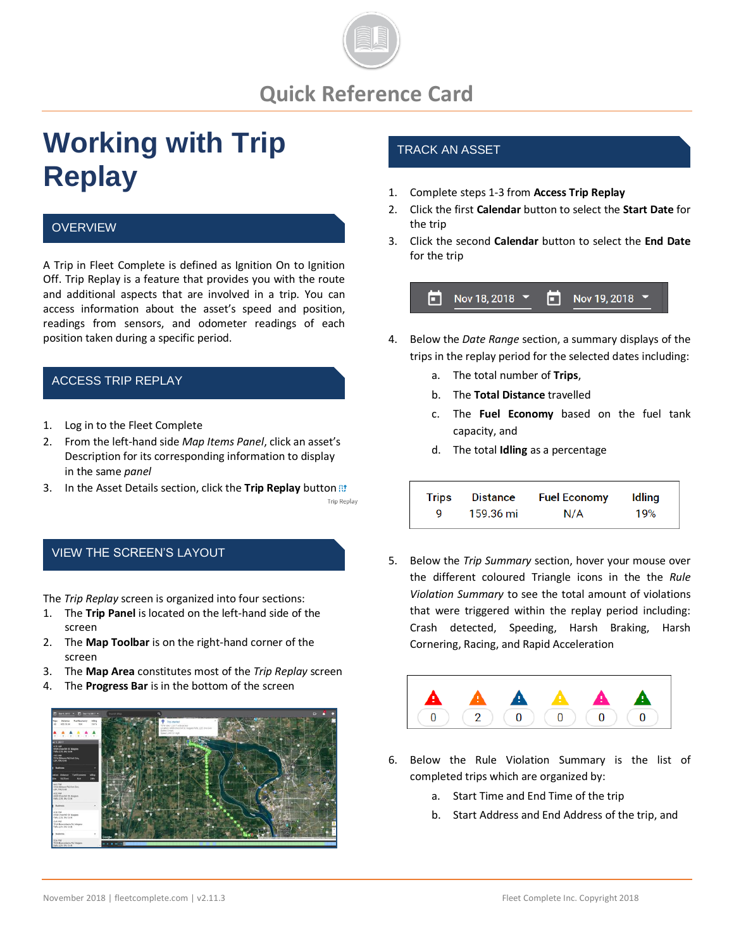

# **Quick Reference Card**

# **Working with Trip Replay**

#### **OVERVIEW**

A Trip in Fleet Complete is defined as Ignition On to Ignition Off. Trip Replay is a feature that provides you with the route and additional aspects that are involved in a trip. You can access information about the asset's speed and position, readings from sensors, and odometer readings of each position taken during a specific period.

## ACCESS TRIP REPLAY

- 1. Log in to the Fleet Complete
- 2. From the left-hand side *Map Items Panel*, click an asset's Description for its corresponding information to display in the same *panel*
- 3. In the Asset Details section, click the **Trip Replay** button

#### VIEW THE SCREEN'S LAYOUT

The *Trip Replay* screen is organized into four sections:

- 1. The **Trip Panel** is located on the left-hand side of the screen
- 2. The **Map Toolbar** is on the right-hand corner of the screen
- 3. The **Map Area** constitutes most of the *Trip Replay* screen
- 4. The **Progress Bar** is in the bottom of the screen



## TRACK AN ASSET

- 1. Complete steps 1-3 from **Access Trip Replay**
- 2. Click the first **Calendar** button to select the **Start Date** for the trip
- 3. Click the second **Calendar** button to select the **End Date** for the trip



- 4. Below the *Date Range* section, a summary displays of the trips in the replay period for the selected dates including:
	- a. The total number of **Trips**,
	- b. The **Total Distance** travelled
	- c. The **Fuel Economy** based on the fuel tank capacity, and
	- d. The total **Idling** as a percentage

| Trips | Distance  | <b>Fuel Economy</b> | Idling |
|-------|-----------|---------------------|--------|
| Q     | 159.36 mi | N/A                 | 19%    |

5. Below the *Trip Summary* section, hover your mouse over the different coloured Triangle icons in the the *Rule Violation Summary* to see the total amount of violations that were triggered within the replay period including: Crash detected, Speeding, Harsh Braking, Harsh Cornering, Racing, and Rapid Acceleration



- 6. Below the Rule Violation Summary is the list of completed trips which are organized by:
	- a. Start Time and End Time of the trip
	- b. Start Address and End Address of the trip, and